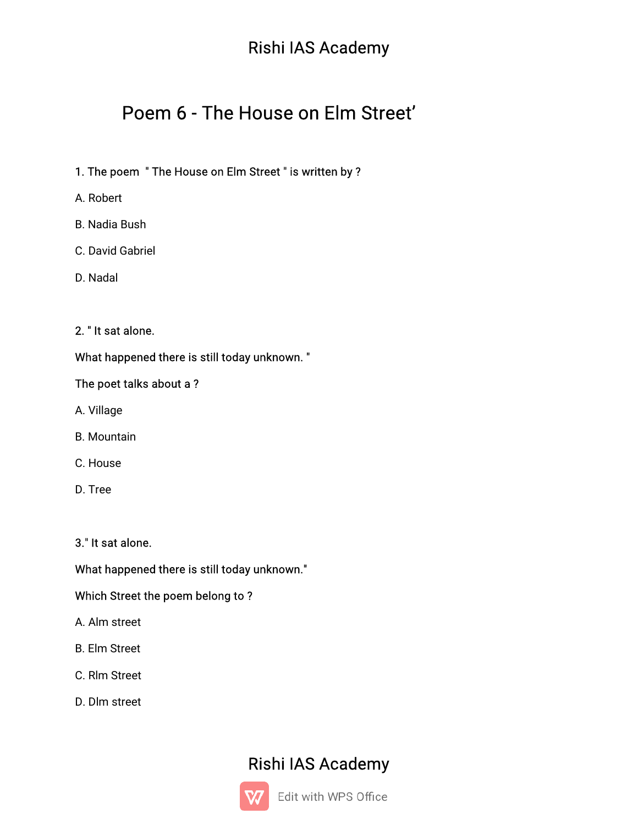# Poem 6 - The House on Elm Street'

## 1. The poem "The House on Elm Street" is written by?

- A.Robert
- **B.** Nadia Bush
- C. David Gabriel
- D.Nadal

#### 2. "It sat alone.

### What happened there is still today unknown."

#### The poet talks about a?

- A.Village
- B.Mountain
- C.House
- D.Tree

3." It sat alone.

### What happened there is still today unknown."

#### Which Street the poem belong to?

- A.Almstreet
- **B.** Elm Street
- C. Rlm Street
- D. Dlm street

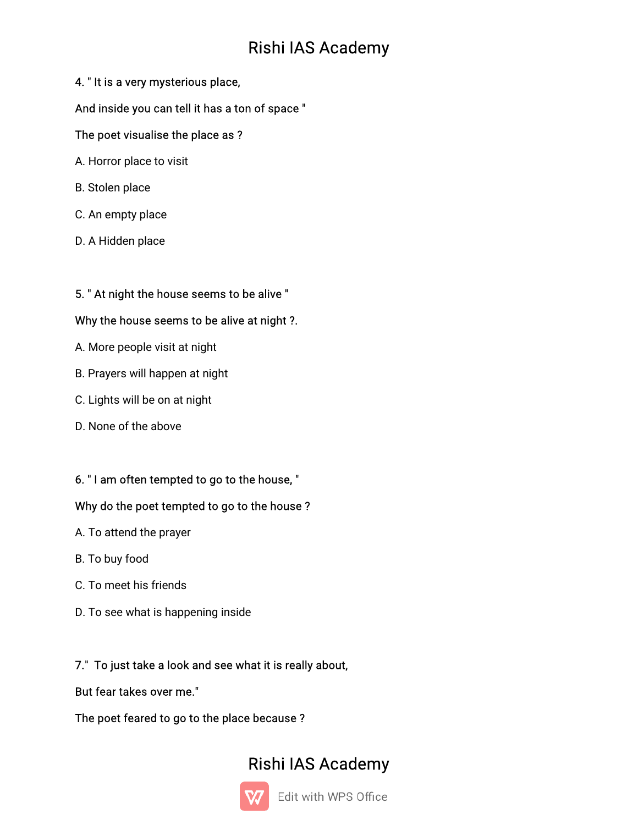## 4. "It is a very mysterious place,

#### And inside you can tell it has a ton of space"

#### The poet visualise the place as ?

- A. Horror place to visit
- B. Stolen place
- C. An empty place
- D. A Hidden place

## 5. " At night the house seems to be alive "

#### Why the house seems to be alive at night ?.

- A. More people visit at night
- B. Prayers will happen at night
- C. Lights will be on at night
- D. None of the above

## 6. "I am often tempted to go to the house, "

#### Why do the poet tempted to go to the house?

- A. To attend the prayer
- B. To buy food
- C. To meet his friends
- D. To see what is happening inside

## 7." To just take a look and see what it is really about,

But fear takes over me."

The poet feared to go to the place because?

# Rishi IAS Academy



Edit with WPS Office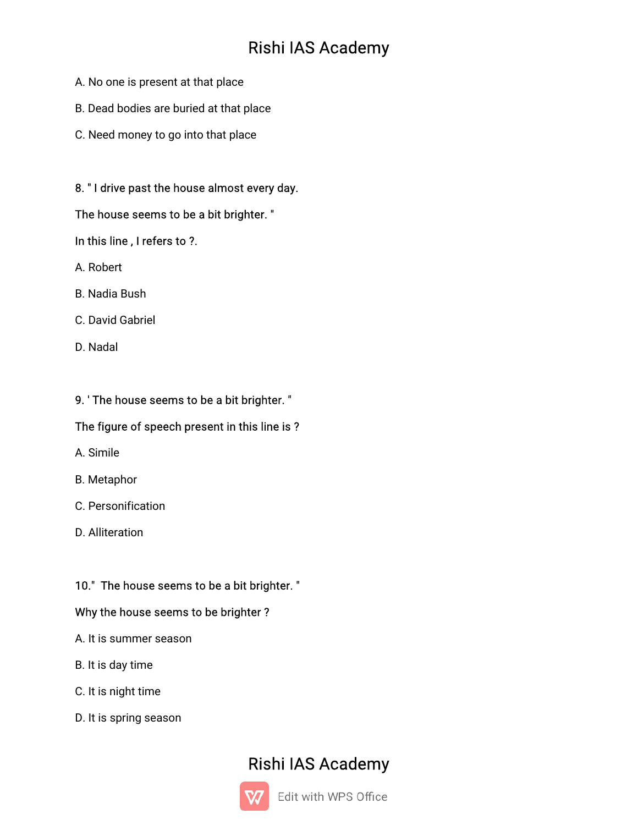- A. No one is present at that place
- B. Dead bodies are buried at that place
- C. Need money to go into that place

#### 8. "I drive past the house almost every day.

#### The house seems to be a bit brighter."

#### In this line, I refers to ?.

- A Robert
- **B.** Nadia Bush
- C. David Gabriel
- D Nadal

#### 9. 'The house seems to be a bit brighter."

#### The figure of speech present in this line is?

- A. Simile
- **B.** Metaphor
- C. Personification
- D. Alliteration

#### 10." The house seems to be a bit brighter. "

#### Why the house seems to be brighter?

- A. It is summer season
- B. It is day time
- C. It is night time
- D. It is spring season

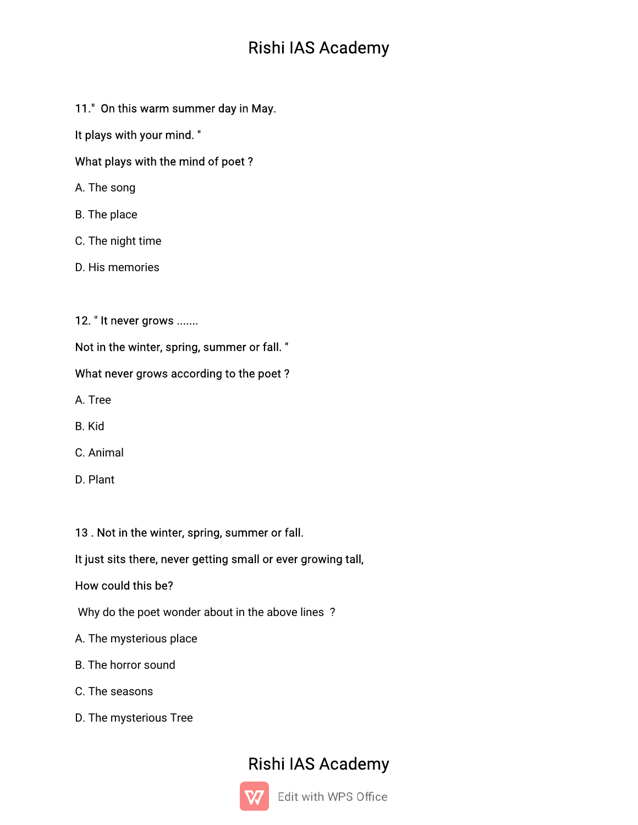11." On this warm summer day in May.

It plays with your mind."

## What plays with the mind of poet?

- A. The song
- B. The place
- C. The night time
- D. His memories
- 12. "It never grows .......

Not in the winter, spring, summer or fall."

## What never grows according to the poet?

A.Tree

- B.Kid
- C.Animal
- D. Plant

## 13. Not in the winter, spring, summer or fall.

## It just sits there, never getting small or ever growing tall,

## How could this be?

Why do the poet wonder about in the above lines?

- A. The mysterious place
- B. The horror sound
- C. The seasons
- D. The mysterious Tree

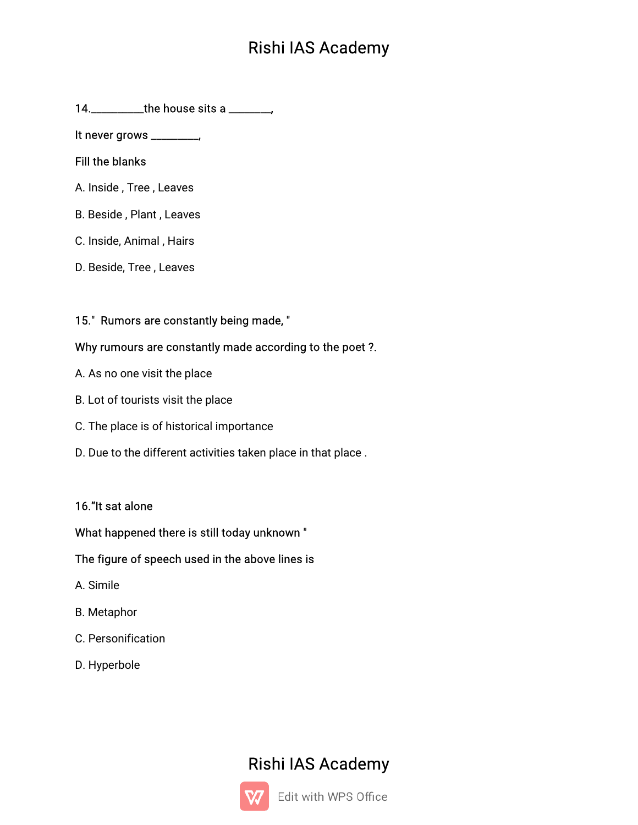It never grows \_\_\_\_\_\_\_\_\_\_

#### **Fill the blanks**

- A. Inside, Tree, Leaves
- B. Beside, Plant, Leaves
- C. Inside, Animal, Hairs
- D. Beside, Tree, Leaves

## 15." Rumors are constantly being made, "

#### Why rumours are constantly made according to the poet ?.

- A. As no one visit the place
- B. Lot of tourists visit the place
- C. The place is of historical importance
- D. Due to the different activities taken place in that place.

#### 16."It sat alone

#### What happened there is still today unknown"

#### The figure of speech used in the above lines is

- A. Simile
- **B.** Metaphor
- C. Personification
- D. Hyperbole

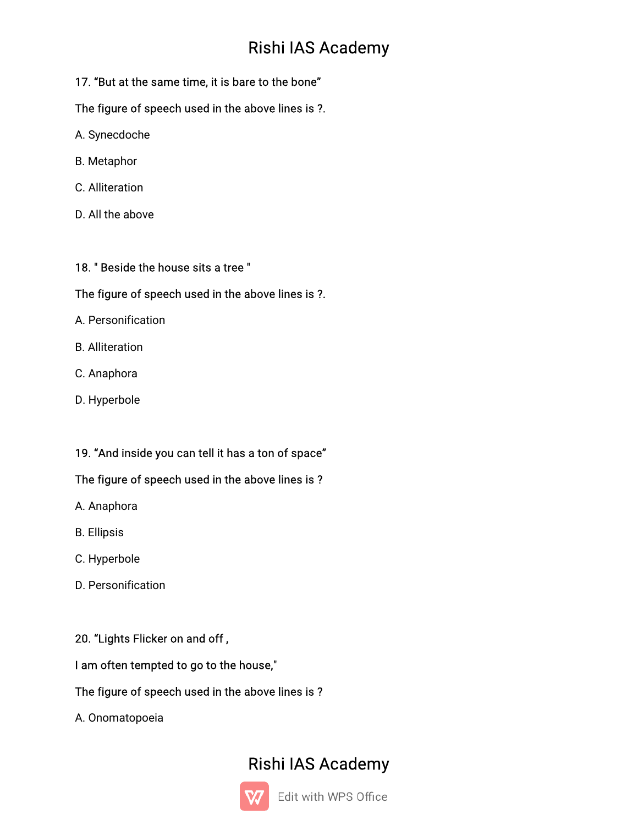## 17. "But at the same time, it is bare to the bone"

## The figure of speech used in the above lines is ?.

- A.Synecdoche
- B.Metaphor
- C.Alliteration
- D. All the above

#### 18. "Beside the house sits a tree"

#### The figure of speech used in the above lines is ?.

- A.Personification
- B.Alliteration
- C.Anaphora
- D. Hyperbole

## 19. "And inside you can tell it has a ton of space"

## The figure of speech used in the above lines is?

- A. Anaphora
- B.Ellipsis
- C.Hyperbole
- D. Personification

## 20. "Lights Flicker on and off,

## I am often tempted to go to the house,"

## The figure of speech used in the above lines is?

A.Onomatopoeia

# Rishi IAS Academy



Edit with WPS Office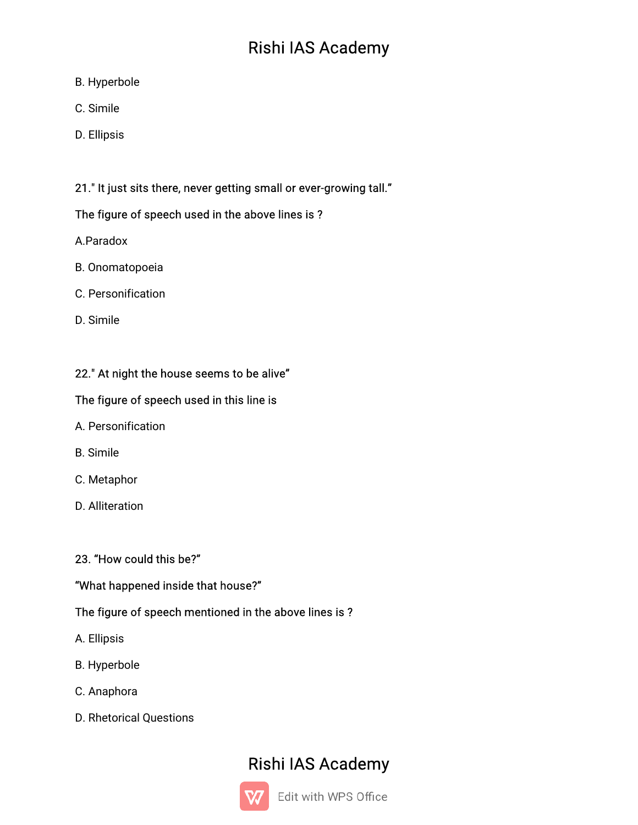- B.Hyperbole
- C.Simile
- D.Ellipsis

## 21." It just sits there, never getting small or ever-growing tall."

## The figure of speech used in the above lines is?

- A.Paradox
- B. Onomatopoeia
- C.Personification
- D.Simile

## 22." At night the house seems to be alive"

## The figure of speech used in this line is

- A.Personification
- B.Simile
- C.Metaphor
- D.Alliteration

## 23. "How could this be?"

## "What happened inside that house?"

## The figure of speech mentioned in the above lines is?

- A.Ellipsis
- B.Hyperbole
- C.Anaphora
- D. Rhetorical Questions

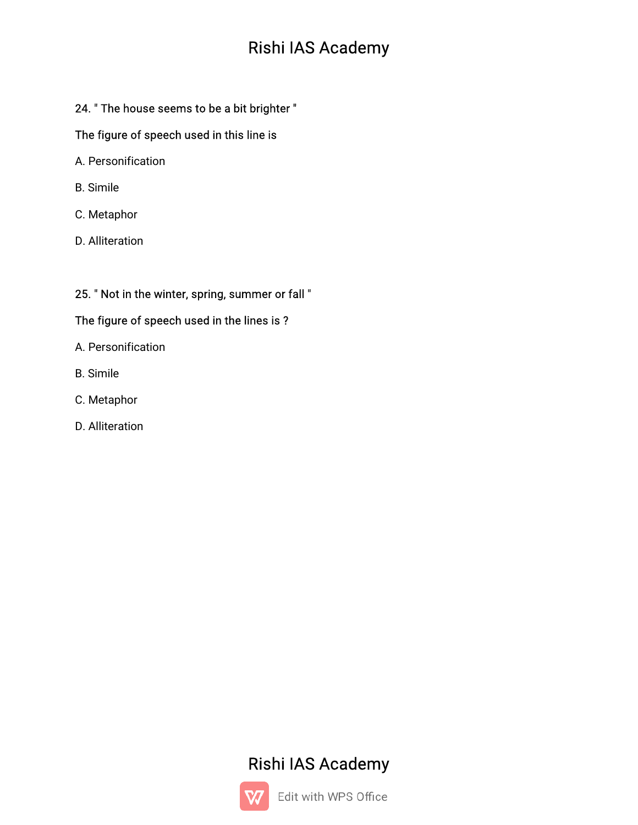## 24. " The house seems to be a bit brighter "

### The figure of speech used in this line is

- A.Personification
- B.Simile
- C.Metaphor
- D. Alliteration

## 25. " Not in the winter, spring, summer or fall "

## The figure of speech used in the lines is ?

- A.Personification
- B.Simile
- C.Metaphor
- D.Alliteration